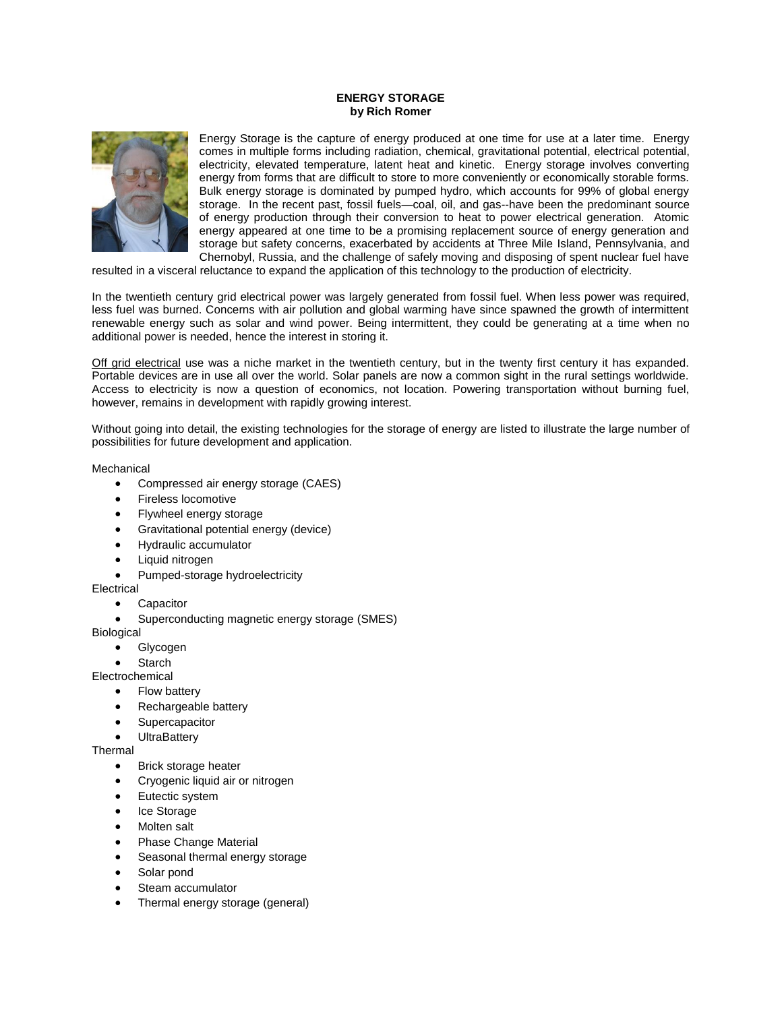## **ENERGY STORAGE by Rich Romer**



Energy Storage is the capture of energy produced at one time for use at a later time. Energy comes in multiple forms including radiation, [chemical,](https://en.wikipedia.org/wiki/Chemical_energy) [gravitational potential,](https://en.wikipedia.org/wiki/Gravitation) [electrical potential,](https://en.wikipedia.org/wiki/Electric_potential_energy) electricity, elevated temperature, [latent heat](https://en.wikipedia.org/wiki/Latent_heat) and [kinetic.](https://en.wikipedia.org/wiki/Kinetic_energy) Energy storage involves converting energy from forms that are difficult to store to more conveniently or economically storable forms. Bulk energy storage is dominated by pumped hydro, which accounts for 99% of global energy storage. In the recent past, fossil fuels—coal, oil, and gas--have been the predominant source of energy production through their conversion to heat to power electrical generation. Atomic energy appeared at one time to be a promising replacement source of energy generation and storage but safety concerns, exacerbated by accidents at Three Mile Island, Pennsylvania, and Chernobyl, Russia, and the challenge of safely moving and disposing of spent nuclear fuel have

resulted in a visceral reluctance to expand the application of this technology to the production of electricity.

In the twentieth century grid electrical power was largely generated from fossil fuel. When less power was required, less fuel was burned. Concerns with air pollution and global warming have since spawned the growth of intermittent renewable energy such as solar and wind power. Being intermittent, they could be generating at a time when no additional power is needed, hence the interest in storing it.

[Off grid electrical](https://en.wikipedia.org/wiki/Off-the-grid) use was a niche market in the twentieth century, but in the twenty first century it has expanded. Portable devices are in use all over the world. Solar panels are now a common sight in the rural settings worldwide. Access to electricity is now a question of economics, not location. Powering transportation without burning fuel, however, remains in development with rapidly growing interest.

Without going into detail, the existing technologies for the storage of energy are listed to illustrate the large number of possibilities for future development and application.

**Mechanical** 

- [Compressed air energy storage](https://en.wikipedia.org/wiki/Compressed_air_energy_storage) (CAES)
- [Fireless locomotive](https://en.wikipedia.org/wiki/Fireless_locomotive)
- [Flywheel energy storage](https://en.wikipedia.org/wiki/Flywheel_energy_storage)
- [Gravitational potential energy \(device\)](https://en.wikipedia.org/wiki/Potential_energy)
- [Hydraulic accumulator](https://en.wikipedia.org/wiki/Hydraulic_accumulator)
- [Liquid nitrogen](https://en.wikipedia.org/wiki/Liquid_nitrogen)
- [Pumped-storage hydroelectricity](https://en.wikipedia.org/wiki/Pumped-storage_hydroelectricity)

Electrical

- **[Capacitor](https://en.wikipedia.org/wiki/Capacitor)**
- [Superconducting magnetic energy storage](https://en.wikipedia.org/wiki/Superconducting_magnetic_energy_storage) (SMES)

Biological

- [Glycogen](https://en.wikipedia.org/wiki/Glycogen)
- [Starch](https://en.wikipedia.org/wiki/Starch)

Electrochemical

- [Flow battery](https://en.wikipedia.org/wiki/Flow_battery)
- [Rechargeable battery](https://en.wikipedia.org/wiki/Rechargeable_battery)
- **[Supercapacitor](https://en.wikipedia.org/wiki/Supercapacitor)**
- **[UltraBattery](https://en.wikipedia.org/wiki/UltraBattery)**

**Thermal** 

- [Brick storage heater](https://en.wikipedia.org/wiki/Storage_heater)
- [Cryogenic liquid air or nitrogen](https://en.wikipedia.org/wiki/Liquid_nitrogen_economy)
- [Eutectic system](https://en.wikipedia.org/wiki/Eutectic_system)
- [Ice Storage](https://en.wikipedia.org/wiki/Thermal_energy_storage#Air_conditioning)
- [Molten salt](https://en.wikipedia.org/wiki/Molten_salt)
- [Phase Change Material](https://en.wikipedia.org/wiki/Phase_Change_Material)
- [Seasonal thermal energy storage](https://en.wikipedia.org/wiki/Seasonal_thermal_energy_storage)
- [Solar pond](https://en.wikipedia.org/wiki/Solar_pond)
- [Steam accumulator](https://en.wikipedia.org/wiki/Steam_accumulator)
- [Thermal energy storage](https://en.wikipedia.org/wiki/Thermal_energy_storage) (general)